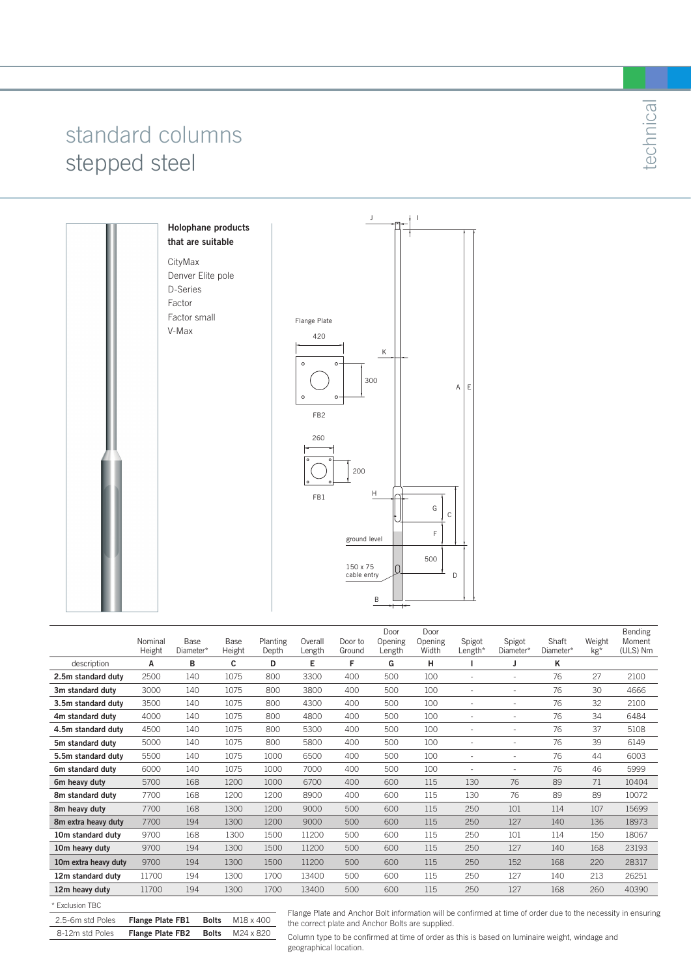## standard columns stepped steel

Factor

V-Max



|                      | Nominal | Base      | Base   | Planting | Overall | Door to | Door<br>Opening | Door<br>Opening | Spigot                       | Spigot    | Shaft     | Weight | Bending<br>Moment |
|----------------------|---------|-----------|--------|----------|---------|---------|-----------------|-----------------|------------------------------|-----------|-----------|--------|-------------------|
|                      | Height  | Diameter* | Height | Depth    | Length  | Ground  | Length          | Width           | Length*                      | Diameter* | Diameter* | $kg*$  | (ULS) Nm          |
| description          | А       | в         | c      | D        | Е       | F       | G               | н               |                              | J         | κ         |        |                   |
| 2.5m standard duty   | 2500    | 140       | 1075   | 800      | 3300    | 400     | 500             | 100             | ÷,                           | ٠         | 76        | 27     | 2100              |
| 3m standard duty     | 3000    | 140       | 1075   | 800      | 3800    | 400     | 500             | 100             | ٠                            | ٠         | 76        | 30     | 4666              |
| 3.5m standard duty   | 3500    | 140       | 1075   | 800      | 4300    | 400     | 500             | 100             | ٠                            |           | 76        | 32     | 2100              |
| 4m standard duty     | 4000    | 140       | 1075   | 800      | 4800    | 400     | 500             | 100             | $\qquad \qquad \blacksquare$ | ۰         | 76        | 34     | 6484              |
| 4.5m standard duty   | 4500    | 140       | 1075   | 800      | 5300    | 400     | 500             | 100             | $\overline{a}$               | J.        | 76        | 37     | 5108              |
| 5m standard duty     | 5000    | 140       | 1075   | 800      | 5800    | 400     | 500             | 100             | ٠                            | ۰         | 76        | 39     | 6149              |
| 5.5m standard duty   | 5500    | 140       | 1075   | 1000     | 6500    | 400     | 500             | 100             | ٠                            | ۰         | 76        | 44     | 6003              |
| 6m standard duty     | 6000    | 140       | 1075   | 1000     | 7000    | 400     | 500             | 100             | ٠                            | ÷,        | 76        | 46     | 5999              |
| 6m heavy duty        | 5700    | 168       | 1200   | 1000     | 6700    | 400     | 600             | 115             | 130                          | 76        | 89        | 71     | 10404             |
| 8m standard duty     | 7700    | 168       | 1200   | 1200     | 8900    | 400     | 600             | 115             | 130                          | 76        | 89        | 89     | 10072             |
| 8m heavy duty        | 7700    | 168       | 1300   | 1200     | 9000    | 500     | 600             | 115             | 250                          | 101       | 114       | 107    | 15699             |
| 8m extra heavy duty  | 7700    | 194       | 1300   | 1200     | 9000    | 500     | 600             | 115             | 250                          | 127       | 140       | 136    | 18973             |
| 10m standard dutv    | 9700    | 168       | 1300   | 1500     | 11200   | 500     | 600             | 115             | 250                          | 101       | 114       | 150    | 18067             |
| 10m heavy duty       | 9700    | 194       | 1300   | 1500     | 11200   | 500     | 600             | 115             | 250                          | 127       | 140       | 168    | 23193             |
| 10m extra heavy duty | 9700    | 194       | 1300   | 1500     | 11200   | 500     | 600             | 115             | 250                          | 152       | 168       | 220    | 28317             |
| 12m standard duty    | 11700   | 194       | 1300   | 1700     | 13400   | 500     | 600             | 115             | 250                          | 127       | 140       | 213    | 26251             |
| 12m heavy duty       | 11700   | 194       | 1300   | 1700     | 13400   | 500     | 600             | 115             | 250                          | 127       | 168       | 260    | 40390             |
|                      |         |           |        |          |         |         |                 |                 |                              |           |           |        |                   |

#### \* Exclusion TBC

| 2.5-6m std Poles | <b>Flange Plate FB1 Bolts</b> $M18 \times 400$ |  |
|------------------|------------------------------------------------|--|
| 8-12m std Poles  | <b>Flange Plate FB2 Bolts</b> M24 x 820        |  |

Flange Plate and Anchor Bolt information will be confirmed at time of order due to the necessity in ensuring the correct plate and Anchor Bolts are supplied.

Column type to be confirmed at time of order as this is based on luminaire weight, windage and geographical location.

technical technical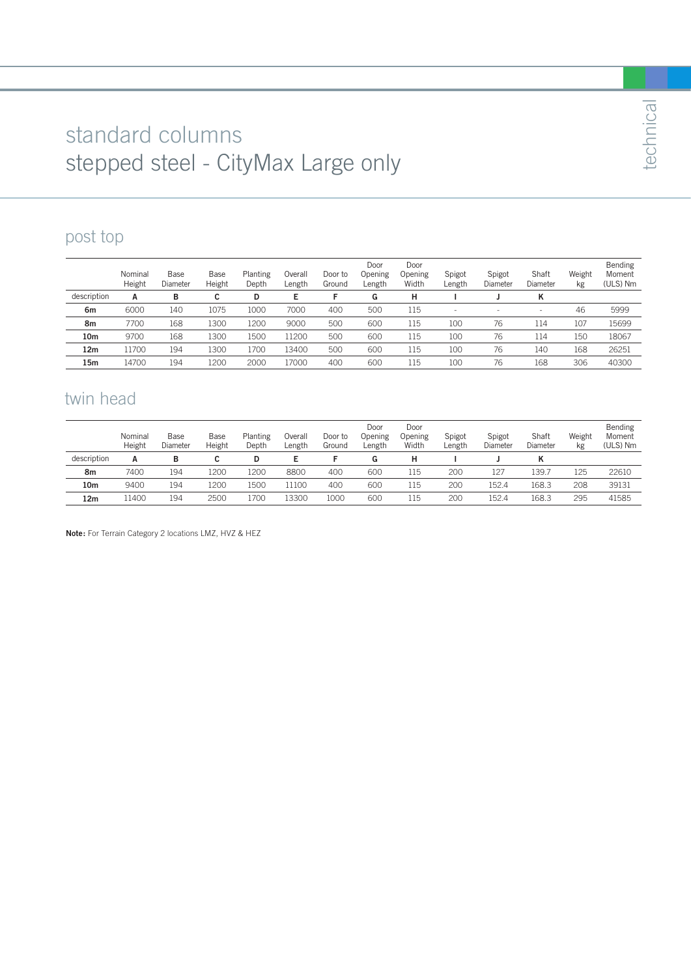## standard columns stepped steel - CityMax Large only

### post top

|                 | Nominal<br>Height | Base<br>Diameter | Base<br>Height | Planting<br>Depth | Overall<br>Length | Door to<br>Ground | Door<br>Opening<br>Length | Door<br>Opening<br>Width | Spigot<br>Length | Spigot<br>Diameter | Shaft<br>Diameter | Weight<br>kg | Bending<br>Moment<br>(ULS) Nm |
|-----------------|-------------------|------------------|----------------|-------------------|-------------------|-------------------|---------------------------|--------------------------|------------------|--------------------|-------------------|--------------|-------------------------------|
| description     | A                 | в                |                | D                 | E                 |                   | G                         | н                        |                  |                    | ĸ                 |              |                               |
| 6m              | 6000              | 140              | 1075           | 1000              | 7000              | 400               | 500                       | 115                      | $\sim$           | -                  |                   | 46           | 5999                          |
| 8m              | 7700              | 168              | 1300           | 1200              | 9000              | 500               | 600                       | 115                      | 100              | 76                 | 114               | 107          | 15699                         |
| 10 <sub>m</sub> | 9700              | 168              | 1300           | 1500              | 11200             | 500               | 600                       | 115                      | 100              | 76                 | 114               | 150          | 18067                         |
| 12 <sub>m</sub> | 11700             | 194              | 1300           | 1700              | 13400             | 500               | 600                       | 115                      | 100              | 76                 | 140               | 168          | 26251                         |
| 15m             | 14700             | 194              | 1200           | 2000              | 17000             | 400               | 600                       | 115                      | 100              | 76                 | 168               | 306          | 40300                         |

#### twin head

|             | Nominal<br>Height | Base<br>Diameter | Base<br>Height | Planting<br>Depth | Dverall<br>$L$ ength | Door to<br>Ground | Door<br>Opening<br>∟ength | Door<br>Opening<br>Width | Spigot<br>∟ength | Spigot<br>Diameter | Shaft<br>Diameter | Weight<br>kg | Bending<br>Moment<br>(ULS) Nm |
|-------------|-------------------|------------------|----------------|-------------------|----------------------|-------------------|---------------------------|--------------------------|------------------|--------------------|-------------------|--------------|-------------------------------|
| description | А                 | в                |                |                   |                      |                   | G                         |                          |                  |                    |                   |              |                               |
| 8m          | 7400              | 194              | 1200           | 1200              | 8800                 | 400               | 600                       | 115                      | 200              | 127                | 139.7             | 125          | 22610                         |
| 10m         | 9400              | 194              | 1200           | 1500              | 11100                | 400               | 600                       | 115                      | 200              | 152.4              | 168.3             | 208          | 39131                         |
| 12m         | 11400             | 194              | 2500           | l700              | 13300                | 1000              | 600                       | 115                      | 200              | 152.4              | 168.3             | 295          | 41585                         |

**Note:** For Terrain Category 2 locations LMZ, HVZ & HEZ